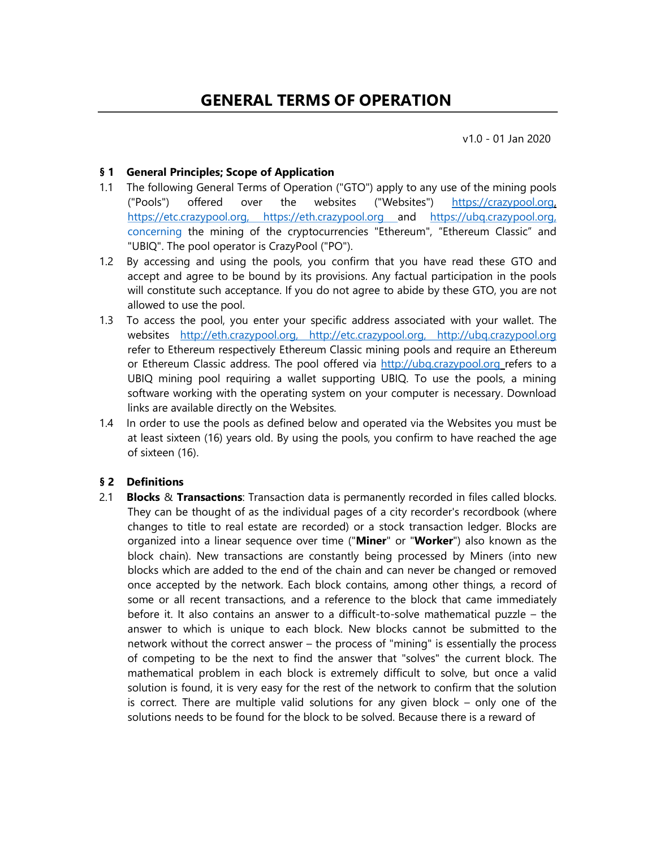v1.0 - 01 Jan 2020

#### § 1 General Principles; Scope of Application

- 1.1 The following General Terms of Operation ("GTO") apply to any use of the mining pools ("Pools") offered over the websites ("Websites") https://crazypool.org, https://etc.crazypool.org, https://eth.crazypool.org and https://ubq.crazypool.org, concerning the mining of the cryptocurrencies "Ethereum", "Ethereum Classic" and "UBIQ". The pool operator is CrazyPool ("PO").
- 1.2 By accessing and using the pools, you confirm that you have read these GTO and accept and agree to be bound by its provisions. Any factual participation in the pools will constitute such acceptance. If you do not agree to abide by these GTO, you are not allowed to use the pool.
- 1.3 To access the pool, you enter your specific address associated with your wallet. The websites http://eth.crazypool.org, http://etc.crazypool.org, http://ubq.crazypool.org refer to Ethereum respectively Ethereum Classic mining pools and require an Ethereum or Ethereum Classic address. The pool offered via http://ubq.crazypool.org refers to a UBIQ mining pool requiring a wallet supporting UBIQ. To use the pools, a mining software working with the operating system on your computer is necessary. Download links are available directly on the Websites.
- 1.4 In order to use the pools as defined below and operated via the Websites you must be at least sixteen (16) years old. By using the pools, you confirm to have reached the age of sixteen (16).

### § 2 Definitions

2.1 **Blocks**  $\&$  **Transactions**: Transaction data is permanently recorded in files called blocks. They can be thought of as the individual pages of a city recorder's recordbook (where changes to title to real estate are recorded) or a stock transaction ledger. Blocks are organized into a linear sequence over time ("Miner" or "Worker") also known as the block chain). New transactions are constantly being processed by Miners (into new blocks which are added to the end of the chain and can never be changed or removed once accepted by the network. Each block contains, among other things, a record of some or all recent transactions, and a reference to the block that came immediately before it. It also contains an answer to a difficult-to-solve mathematical puzzle – the answer to which is unique to each block. New blocks cannot be submitted to the network without the correct answer – the process of "mining" is essentially the process of competing to be the next to find the answer that "solves" the current block. The mathematical problem in each block is extremely difficult to solve, but once a valid solution is found, it is very easy for the rest of the network to confirm that the solution is correct. There are multiple valid solutions for any given block – only one of the solutions needs to be found for the block to be solved. Because there is a reward of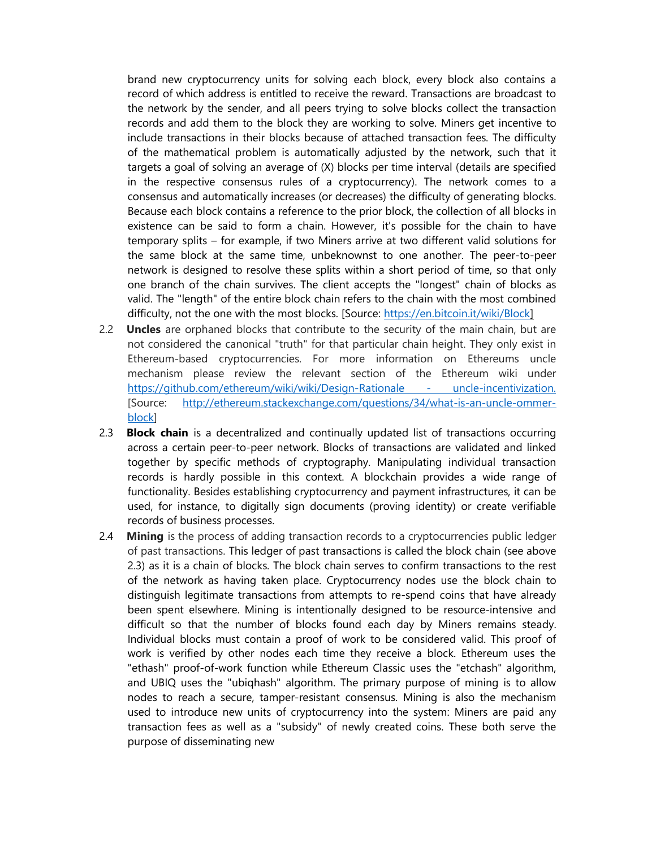brand new cryptocurrency units for solving each block, every block also contains a record of which address is entitled to receive the reward. Transactions are broadcast to the network by the sender, and all peers trying to solve blocks collect the transaction records and add them to the block they are working to solve. Miners get incentive to include transactions in their blocks because of attached transaction fees. The difficulty of the mathematical problem is automatically adjusted by the network, such that it targets a goal of solving an average of (X) blocks per time interval (details are specified in the respective consensus rules of a cryptocurrency). The network comes to a consensus and automatically increases (or decreases) the difficulty of generating blocks. Because each block contains a reference to the prior block, the collection of all blocks in existence can be said to form a chain. However, it's possible for the chain to have temporary splits – for example, if two Miners arrive at two different valid solutions for the same block at the same time, unbeknownst to one another. The peer-to-peer network is designed to resolve these splits within a short period of time, so that only one branch of the chain survives. The client accepts the "longest" chain of blocks as valid. The "length" of the entire block chain refers to the chain with the most combined difficulty, not the one with the most blocks. [Source: https://en.bitcoin.it/wiki/Block]

- 2.2 Uncles are orphaned blocks that contribute to the security of the main chain, but are not considered the canonical "truth" for that particular chain height. They only exist in Ethereum-based cryptocurrencies. For more information on Ethereums uncle mechanism please review the relevant section of the Ethereum wiki under https://github.com/ethereum/wiki/wiki/Design-Rationale - uncle-incentivization. [Source: http://ethereum.stackexchange.com/questions/34/what-is-an-uncle-ommerblock]
- 2.3 **Block chain** is a decentralized and continually updated list of transactions occurring across a certain peer-to-peer network. Blocks of transactions are validated and linked together by specific methods of cryptography. Manipulating individual transaction records is hardly possible in this context. A blockchain provides a wide range of functionality. Besides establishing cryptocurrency and payment infrastructures, it can be used, for instance, to digitally sign documents (proving identity) or create verifiable records of business processes.
- 2.4 **Mining** is the process of adding transaction records to a cryptocurrencies public ledger of past transactions. This ledger of past transactions is called the block chain (see above 2.3) as it is a chain of blocks. The block chain serves to confirm transactions to the rest of the network as having taken place. Cryptocurrency nodes use the block chain to distinguish legitimate transactions from attempts to re-spend coins that have already been spent elsewhere. Mining is intentionally designed to be resource-intensive and difficult so that the number of blocks found each day by Miners remains steady. Individual blocks must contain a proof of work to be considered valid. This proof of work is verified by other nodes each time they receive a block. Ethereum uses the "ethash" proof-of-work function while Ethereum Classic uses the "etchash" algorithm, and UBIQ uses the "ubiqhash" algorithm. The primary purpose of mining is to allow nodes to reach a secure, tamper-resistant consensus. Mining is also the mechanism used to introduce new units of cryptocurrency into the system: Miners are paid any transaction fees as well as a "subsidy" of newly created coins. These both serve the purpose of disseminating new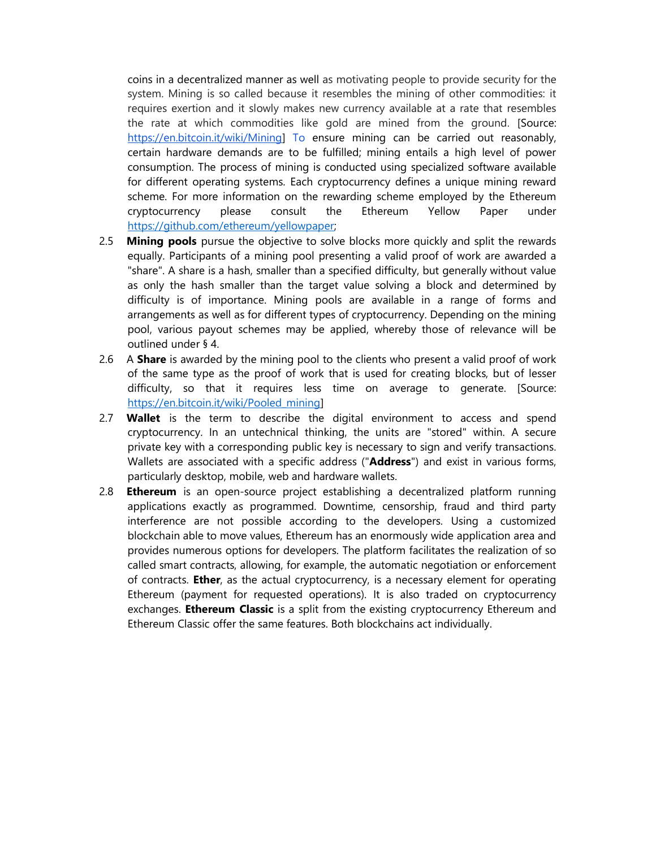coins in a decentralized manner as well as motivating people to provide security for the system. Mining is so called because it resembles the mining of other commodities: it requires exertion and it slowly makes new currency available at a rate that resembles the rate at which commodities like gold are mined from the ground. [Source: https://en.bitcoin.it/wiki/Mining] To ensure mining can be carried out reasonably, certain hardware demands are to be fulfilled; mining entails a high level of power consumption. The process of mining is conducted using specialized software available for different operating systems. Each cryptocurrency defines a unique mining reward scheme. For more information on the rewarding scheme employed by the Ethereum cryptocurrency please consult the Ethereum Yellow Paper under https://github.com/ethereum/yellowpaper;

- 2.5 Mining pools pursue the objective to solve blocks more quickly and split the rewards equally. Participants of a mining pool presenting a valid proof of work are awarded a "share". A share is a hash, smaller than a specified difficulty, but generally without value as only the hash smaller than the target value solving a block and determined by difficulty is of importance. Mining pools are available in a range of forms and arrangements as well as for different types of cryptocurrency. Depending on the mining pool, various payout schemes may be applied, whereby those of relevance will be outlined under § 4.
- 2.6 A Share is awarded by the mining pool to the clients who present a valid proof of work of the same type as the proof of work that is used for creating blocks, but of lesser difficulty, so that it requires less time on average to generate. [Source: https://en.bitcoin.it/wiki/Pooled\_mining]
- 2.7 Wallet is the term to describe the digital environment to access and spend cryptocurrency. In an untechnical thinking, the units are "stored" within. A secure private key with a corresponding public key is necessary to sign and verify transactions. Wallets are associated with a specific address ("Address") and exist in various forms, particularly desktop, mobile, web and hardware wallets.
- 2.8 **Ethereum** is an open-source project establishing a decentralized platform running applications exactly as programmed. Downtime, censorship, fraud and third party interference are not possible according to the developers. Using a customized blockchain able to move values, Ethereum has an enormously wide application area and provides numerous options for developers. The platform facilitates the realization of so called smart contracts, allowing, for example, the automatic negotiation or enforcement of contracts. **Ether**, as the actual cryptocurrency, is a necessary element for operating Ethereum (payment for requested operations). It is also traded on cryptocurrency exchanges. **Ethereum Classic** is a split from the existing cryptocurrency Ethereum and Ethereum Classic offer the same features. Both blockchains act individually.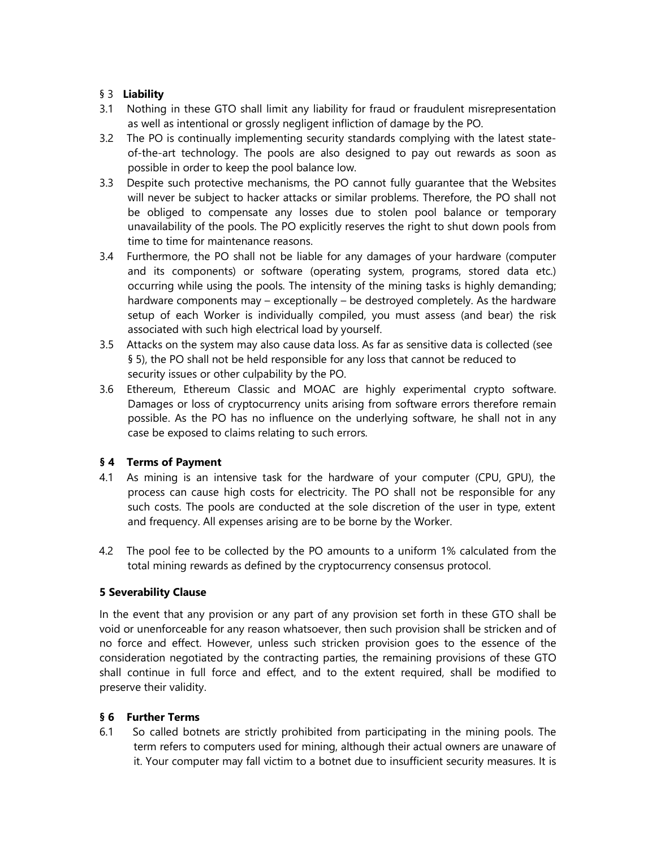## § 3 Liability

- 3.1 Nothing in these GTO shall limit any liability for fraud or fraudulent misrepresentation as well as intentional or grossly negligent infliction of damage by the PO.
- 3.2 The PO is continually implementing security standards complying with the latest stateof-the-art technology. The pools are also designed to pay out rewards as soon as possible in order to keep the pool balance low.
- 3.3 Despite such protective mechanisms, the PO cannot fully guarantee that the Websites will never be subject to hacker attacks or similar problems. Therefore, the PO shall not be obliged to compensate any losses due to stolen pool balance or temporary unavailability of the pools. The PO explicitly reserves the right to shut down pools from time to time for maintenance reasons.
- 3.4 Furthermore, the PO shall not be liable for any damages of your hardware (computer and its components) or software (operating system, programs, stored data etc.) occurring while using the pools. The intensity of the mining tasks is highly demanding; hardware components may – exceptionally – be destroyed completely. As the hardware setup of each Worker is individually compiled, you must assess (and bear) the risk associated with such high electrical load by yourself.
- 3.5 Attacks on the system may also cause data loss. As far as sensitive data is collected (see § 5), the PO shall not be held responsible for any loss that cannot be reduced to security issues or other culpability by the PO.
- 3.6 Ethereum, Ethereum Classic and MOAC are highly experimental crypto software. Damages or loss of cryptocurrency units arising from software errors therefore remain possible. As the PO has no influence on the underlying software, he shall not in any case be exposed to claims relating to such errors.

### § 4 Terms of Payment

- 4.1 As mining is an intensive task for the hardware of your computer (CPU, GPU), the process can cause high costs for electricity. The PO shall not be responsible for any such costs. The pools are conducted at the sole discretion of the user in type, extent and frequency. All expenses arising are to be borne by the Worker.
- 4.2 The pool fee to be collected by the PO amounts to a uniform 1% calculated from the total mining rewards as defined by the cryptocurrency consensus protocol.

# 5 Severability Clause

In the event that any provision or any part of any provision set forth in these GTO shall be void or unenforceable for any reason whatsoever, then such provision shall be stricken and of no force and effect. However, unless such stricken provision goes to the essence of the consideration negotiated by the contracting parties, the remaining provisions of these GTO shall continue in full force and effect, and to the extent required, shall be modified to preserve their validity.

### § 6 Further Terms

6.1 So called botnets are strictly prohibited from participating in the mining pools. The term refers to computers used for mining, although their actual owners are unaware of it. Your computer may fall victim to a botnet due to insufficient security measures. It is